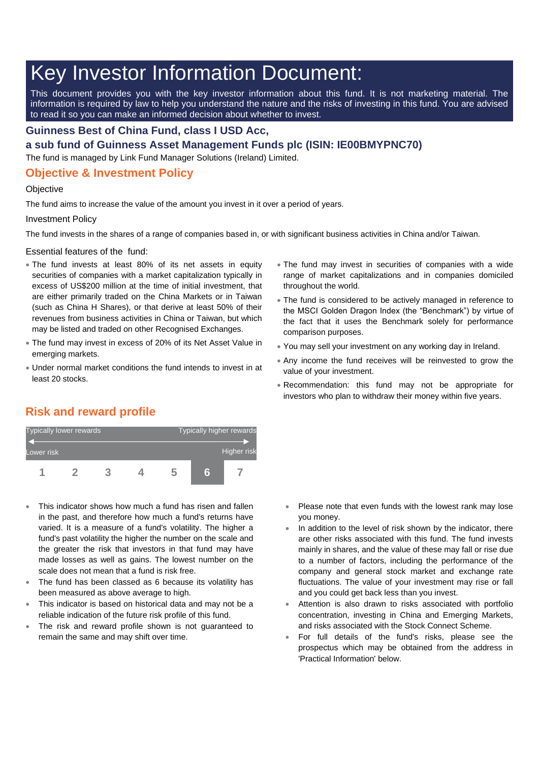# Key Investor Information Document:

This document provides you with the key investor information about this fund. It is not marketing material. The information is required by law to help you understand the nature and the risks of investing in this fund. You are advised to read it so you can make an informed decision about whether to invest.

### **Guinness Best of China Fund, class I USD Acc,**

**a sub fund of Guinness Asset Management Funds plc (ISIN: IE00BMYPNC70)**

The fund is managed by Link Fund Manager Solutions (Ireland) Limited.

## **Objective & Investment Policy**

#### **Objective**

The fund aims to increase the value of the amount you invest in it over a period of years.

#### Investment Policy

The fund invests in the shares of a range of companies based in, or with significant business activities in China and/or Taiwan.

Essential features of the fund:

- The fund invests at least 80% of its net assets in equity securities of companies with a market capitalization typically in excess of US\$200 million at the time of initial investment, that are either primarily traded on the China Markets or in Taiwan (such as China H Shares), or that derive at least 50% of their revenues from business activities in China or Taiwan, but which may be listed and traded on other Recognised Exchanges.
- The fund may invest in excess of 20% of its Net Asset Value in emerging markets.
- Under normal market conditions the fund intends to invest in at least 20 stocks.
- The fund may invest in securities of companies with a wide range of market capitalizations and in companies domiciled throughout the world.
- The fund is considered to be actively managed in reference to the MSCI Golden Dragon Index (the "Benchmark") by virtue of the fact that it uses the Benchmark solely for performance comparison purposes.
- You may sell your investment on any working day in Ireland.
- Any income the fund receives will be reinvested to grow the value of your investment.
- Recommendation: this fund may not be appropriate for investors who plan to withdraw their money within five years.

# **Risk and reward profile**



- This indicator shows how much a fund has risen and fallen in the past, and therefore how much a fund's returns have varied. It is a measure of a fund's volatility. The higher a fund's past volatility the higher the number on the scale and the greater the risk that investors in that fund may have made losses as well as gains. The lowest number on the scale does not mean that a fund is risk free.
- The fund has been classed as 6 because its volatility has been measured as above average to high.
- This indicator is based on historical data and may not be a reliable indication of the future risk profile of this fund.
- The risk and reward profile shown is not guaranteed to remain the same and may shift over time.
- Please note that even funds with the lowest rank may lose you money.
- In addition to the level of risk shown by the indicator, there are other risks associated with this fund. The fund invests mainly in shares, and the value of these may fall or rise due to a number of factors, including the performance of the company and general stock market and exchange rate fluctuations. The value of your investment may rise or fall and you could get back less than you invest.
- Attention is also drawn to risks associated with portfolio concentration, investing in China and Emerging Markets, and risks associated with the Stock Connect Scheme.
- For full details of the fund's risks, please see the prospectus which may be obtained from the address in 'Practical Information' below.